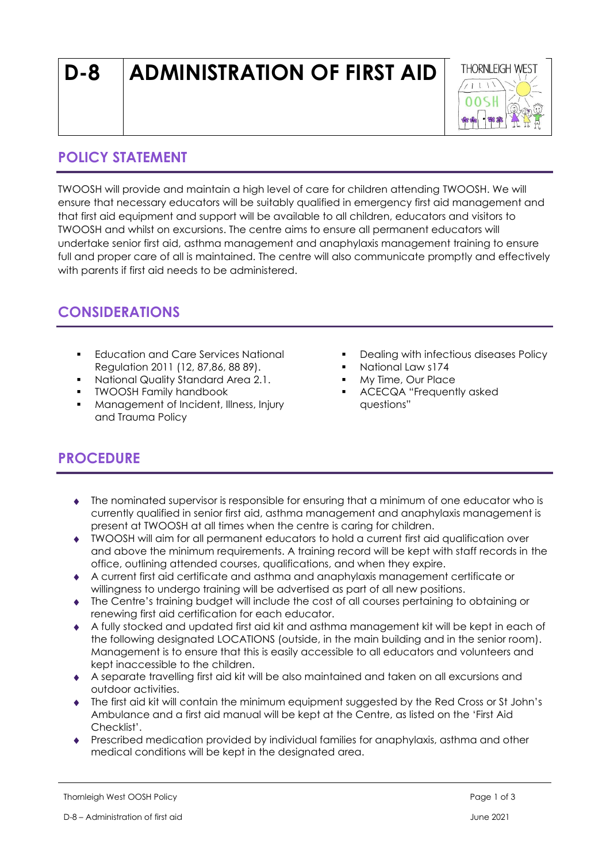# **D-8 ADMINISTRATION OF FIRST AID**



### **POLICY STATEMENT**

TWOOSH will provide and maintain a high level of care for children attending TWOOSH. We will ensure that necessary educators will be suitably qualified in emergency first aid management and that first aid equipment and support will be available to all children, educators and visitors to TWOOSH and whilst on excursions. The centre aims to ensure all permanent educators will undertake senior first aid, asthma management and anaphylaxis management training to ensure full and proper care of all is maintained. The centre will also communicate promptly and effectively with parents if first aid needs to be administered.

## **CONSIDERATIONS**

- **Education and Care Services National** Regulation 2011 (12, 87,86, 88 89).
- National Quality Standard Area 2.1.
- TWOOSH Family handbook
- Management of Incident, Illness, Injury and Trauma Policy
- Dealing with infectious diseases Policy
- National Law s174
- My Time, Our Place
- ACECQA "Frequently asked questions"

## **PROCEDURE**

- The nominated supervisor is responsible for ensuring that a minimum of one educator who is currently qualified in senior first aid, asthma management and anaphylaxis management is present at TWOOSH at all times when the centre is caring for children.
- TWOOSH will aim for all permanent educators to hold a current first aid qualification over and above the minimum requirements. A training record will be kept with staff records in the office, outlining attended courses, qualifications, and when they expire.
- A current first aid certificate and asthma and anaphylaxis management certificate or willingness to undergo training will be advertised as part of all new positions.
- The Centre's training budget will include the cost of all courses pertaining to obtaining or renewing first aid certification for each educator.
- A fully stocked and updated first aid kit and asthma management kit will be kept in each of the following designated LOCATIONS (outside, in the main building and in the senior room). Management is to ensure that this is easily accessible to all educators and volunteers and kept inaccessible to the children.
- A separate travelling first aid kit will be also maintained and taken on all excursions and outdoor activities.
- The first aid kit will contain the minimum equipment suggested by the Red Cross or St John's Ambulance and a first aid manual will be kept at the Centre, as listed on the 'First Aid Checklist'.
- Prescribed medication provided by individual families for anaphylaxis, asthma and other medical conditions will be kept in the designated area.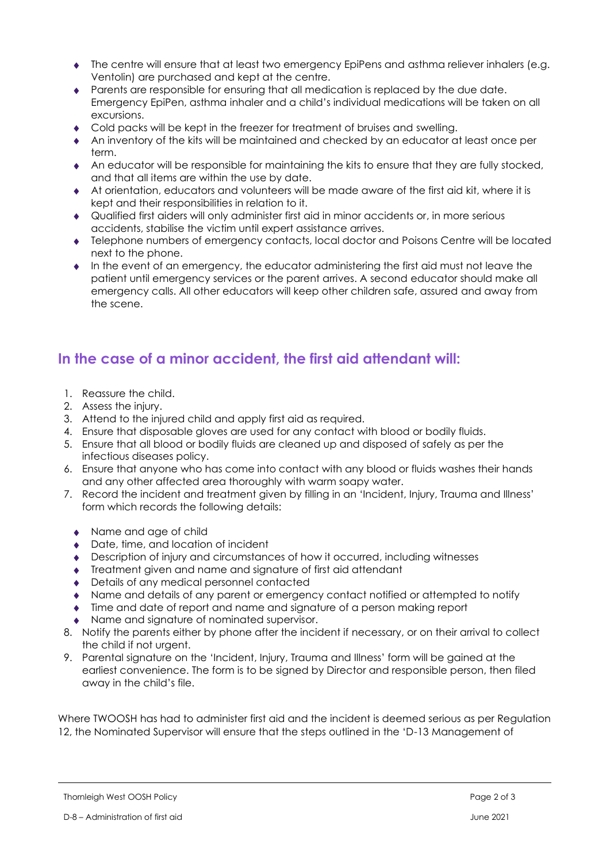- The centre will ensure that at least two emergency EpiPens and asthma reliever inhalers (e.g. Ventolin) are purchased and kept at the centre.
- Parents are responsible for ensuring that all medication is replaced by the due date. Emergency EpiPen, asthma inhaler and a child's individual medications will be taken on all excursions.
- Cold packs will be kept in the freezer for treatment of bruises and swelling.
- An inventory of the kits will be maintained and checked by an educator at least once per term.
- An educator will be responsible for maintaining the kits to ensure that they are fully stocked, and that all items are within the use by date.
- At orientation, educators and volunteers will be made aware of the first aid kit, where it is kept and their responsibilities in relation to it.
- Qualified first aiders will only administer first aid in minor accidents or, in more serious accidents, stabilise the victim until expert assistance arrives.
- Telephone numbers of emergency contacts, local doctor and Poisons Centre will be located next to the phone.
- In the event of an emergency, the educator administering the first aid must not leave the patient until emergency services or the parent arrives. A second educator should make all emergency calls. All other educators will keep other children safe, assured and away from the scene.

#### **In the case of a minor accident, the first aid attendant will:**

- 1. Reassure the child.
- 2. Assess the injury.
- 3. Attend to the injured child and apply first aid as required.
- 4. Ensure that disposable gloves are used for any contact with blood or bodily fluids.
- 5. Ensure that all blood or bodily fluids are cleaned up and disposed of safely as per the infectious diseases policy.
- 6. Ensure that anyone who has come into contact with any blood or fluids washes their hands and any other affected area thoroughly with warm soapy water.
- 7. Record the incident and treatment given by filling in an 'Incident, Injury, Trauma and Illness' form which records the following details:
	- Name and age of child
	- ◆ Date, time, and location of incident
	- Description of injury and circumstances of how it occurred, including witnesses
	- Treatment given and name and signature of first aid attendant
	- ◆ Details of any medical personnel contacted
	- Name and details of any parent or emergency contact notified or attempted to notify
	- Time and date of report and name and signature of a person making report
	- Name and signature of nominated supervisor.
- 8. Notify the parents either by phone after the incident if necessary, or on their arrival to collect the child if not urgent.
- 9. Parental signature on the 'Incident, Injury, Trauma and Illness' form will be gained at the earliest convenience. The form is to be signed by Director and responsible person, then filed away in the child's file.

Where TWOOSH has had to administer first aid and the incident is deemed serious as per Regulation 12, the Nominated Supervisor will ensure that the steps outlined in the 'D-13 Management of